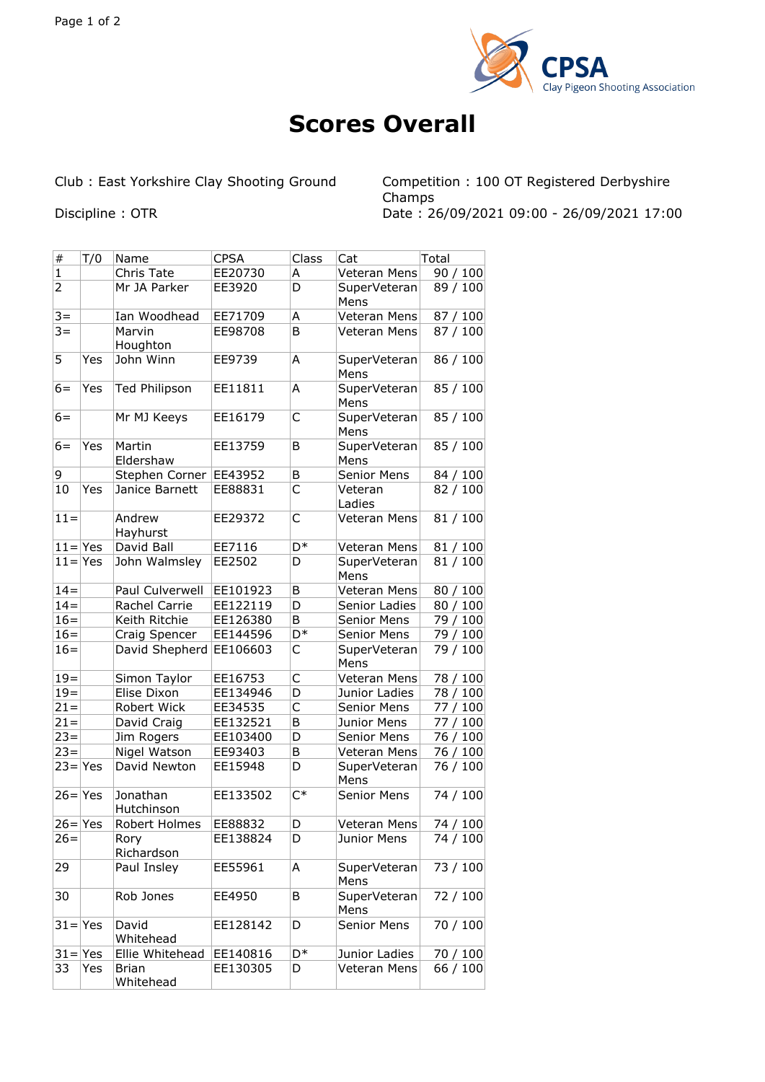

## **Scores Overall**

Club : East Yorkshire Clay Shooting Ground Competition : 100 OT Registered Derbyshire Champs Discipline : OTR Date : 26/09/2021 09:00 - 26/09/2021 17:00

| $\#$           | T/0 | Name                      | <b>CPSA</b> | Class          | Cat                  | Total    |
|----------------|-----|---------------------------|-------------|----------------|----------------------|----------|
| 1              |     | Chris Tate                | EE20730     | А              | Veteran Mens         | 90/100   |
| $\overline{2}$ |     | Mr JA Parker              | EE3920      | D              | SuperVeteran<br>Mens | 89 / 100 |
| $3 =$          |     | Ian Woodhead              | EE71709     | А              | Veteran Mens         | 87 / 100 |
| $3 =$          |     | Marvin<br>Houghton        | EE98708     | B              | Veteran Mens         | 87 / 100 |
| 5              | Yes | John Winn                 | EE9739      | A              | SuperVeteran<br>Mens | 86 / 100 |
| $6=$           | Yes | <b>Ted Philipson</b>      | EE11811     | A              | SuperVeteran<br>Mens | 85 / 100 |
| 6=             |     | Mr MJ Keeys               | EE16179     | C              | SuperVeteran<br>Mens | 85 / 100 |
| $6=$           | Yes | Martin<br>Eldershaw       | EE13759     | B              | SuperVeteran<br>Mens | 85 / 100 |
| 9              |     | Stephen Corner            | EE43952     | В              | Senior Mens          | 84 / 100 |
| 10             | Yes | Janice Barnett            | EE88831     | C              | Veteran<br>Ladies    | 82 / 100 |
| $11 =$         |     | Andrew<br>Hayhurst        | EE29372     | C              | Veteran Mens         | 81 / 100 |
| $11 = Yes$     |     | David Ball                | EE7116      | D <sup>*</sup> | Veteran Mens         | 81/100   |
| $11 = Yes$     |     | John Walmsley             | EE2502      | D              | SuperVeteran<br>Mens | 81/100   |
| $14 =$         |     | Paul Culverwell           | EE101923    | B              | Veteran Mens         | 80 / 100 |
| $14=$          |     | Rachel Carrie             | EE122119    | D              | Senior Ladies        | 80 / 100 |
| $16=$          |     | Keith Ritchie             | EE126380    | B              | Senior Mens          | 79 / 100 |
| $16=$          |     | Craig Spencer             | EE144596    | D*             | Senior Mens          | 79 / 100 |
| $16=$          |     | David Shepherd EE106603   |             | C              | SuperVeteran<br>Mens | 79 / 100 |
| $19 =$         |     | Simon Taylor              | EE16753     | C              | Veteran Mens         | 78 / 100 |
| $19 =$         |     | Elise Dixon               | EE134946    | D              | Junior Ladies        | 78 / 100 |
| $21 =$         |     | Robert Wick               | EE34535     | C              | Senior Mens          | 77 / 100 |
| $21 =$         |     | David Craig               | EE132521    | B              | Junior Mens          | 77 / 100 |
| $23 =$         |     | Jim Rogers                | EE103400    | D              | Senior Mens          | 76 / 100 |
| $23 =$         |     | Nigel Watson              | EE93403     | В              | Veteran Mens         | 76 / 100 |
| $23 = Yes$     |     | David Newton              | EE15948     | D              | SuperVeteran<br>Mens | 76 / 100 |
| $26 = Yes$     |     | Jonathan<br>Hutchinson    | EE133502    | $C^*$          | Senior Mens          | 74 / 100 |
| $26 = Yes$     |     | Robert Holmes             | EE88832     | D              | Veteran Mens         | 74 / 100 |
| $26=$          |     | Rory<br>Richardson        | EE138824    | D              | Junior Mens          | 74 / 100 |
| 29             |     | Paul Insley               | EE55961     | Α              | SuperVeteran<br>Mens | 73 / 100 |
| 30             |     | Rob Jones                 | EE4950      | В              | SuperVeteran<br>Mens | 72 / 100 |
| $31 = Yes$     |     | David<br>Whitehead        | EE128142    | D              | Senior Mens          | 70 / 100 |
| $31 = Yes$     |     | Ellie Whitehead           | EE140816    | D*             | Junior Ladies        | 70 / 100 |
| 33             | Yes | <b>Brian</b><br>Whitehead | EE130305    | D              | Veteran Mens         | 66 / 100 |